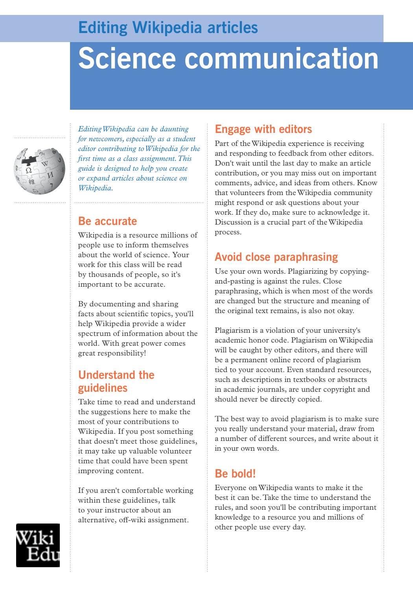# **Editing Wikipedia articles**

# **Science communication**



*Editing Wikipedia can be daunting for newcomers, especially as a student editor contributing to Wikipedia for the first time as a class assignment. This guide is designed to help you create or expand articles about science on Wikipedia.*

## **Be accurate**

Wikipedia is a resource millions of people use to inform themselves about the world of science. Your work for this class will be read by thousands of people, so it's important to be accurate.

By documenting and sharing facts about scientific topics, you'll help Wikipedia provide a wider spectrum of information about the world. With great power comes great responsibility!

## **Understand the guidelines**

Take time to read and understand the suggestions here to make the most of your contributions to Wikipedia. If you post something that doesn't meet those guidelines, it may take up valuable volunteer time that could have been spent improving content.

If you aren't comfortable working within these guidelines, talk to your instructor about an alternative, off-wiki assignment.

## **Engage with editors**

Part of the Wikipedia experience is receiving and responding to feedback from other editors. Don't wait until the last day to make an article contribution, or you may miss out on important comments, advice, and ideas from others. Know that volunteers from the Wikipedia community might respond or ask questions about your work. If they do, make sure to acknowledge it. Discussion is a crucial part of the Wikipedia process.

## **Avoid close paraphrasing**

Use your own words. Plagiarizing by copyingand-pasting is against the rules. Close paraphrasing, which is when most of the words are changed but the structure and meaning of the original text remains, is also not okay.

Plagiarism is a violation of your university's academic honor code. Plagiarism on Wikipedia will be caught by other editors, and there will be a permanent online record of plagiarism tied to your account. Even standard resources, such as descriptions in textbooks or abstracts in academic journals, are under copyright and should never be directly copied.

The best way to avoid plagiarism is to make sure you really understand your material, draw from a number of different sources, and write about it in your own words.

## **Be bold!**

Everyone on Wikipedia wants to make it the best it can be. Take the time to understand the rules, and soon you'll be contributing important knowledge to a resource you and millions of other people use every day.

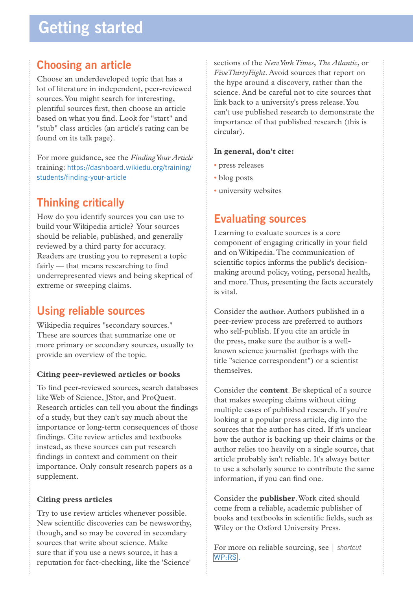# **Getting started**

## **Choosing an article**

Choose an underdeveloped topic that has a lot of literature in independent, peer-reviewed sources. You might search for interesting, plentiful sources first, then choose an article based on what you find. Look for "start" and "stub" class articles (an article's rating can be found on its talk page).

For more guidance, see the *Finding Your Article* training: https://dashboard.wikiedu.org/training/ students/finding-your-article

## **Thinking critically**

How do you identify sources you can use to build your Wikipedia article? Your sources should be reliable, published, and generally reviewed by a third party for accuracy. Readers are trusting you to represent a topic fairly — that means researching to find underrepresented views and being skeptical of extreme or sweeping claims.

## **Using reliable sources**

Wikipedia requires "secondary sources." These are sources that summarize one or more primary or secondary sources, usually to provide an overview of the topic.

#### **Citing peer-reviewed articles or books**

To find peer-reviewed sources, search databases like Web of Science, JStor, and ProQuest. Research articles can tell you about the findings of a study, but they can't say much about the importance or long-term consequences of those findings. Cite review articles and textbooks instead, as these sources can put research findings in context and comment on their importance. Only consult research papers as a supplement.

#### **Citing press articles**

Try to use review articles whenever possible. New scientific discoveries can be newsworthy, though, and so may be covered in secondary sources that write about science. Make sure that if you use a news source, it has a reputation for fact-checking, like the 'Science'

sections of the *New York Times*, *The Atlantic*, or *FiveThirtyEight*. Avoid sources that report on the hype around a discovery, rather than the science. And be careful not to cite sources that link back to a university's press release. You can't use published research to demonstrate the importance of that published research (this is circular).

#### **In general, don't cite:**

- press releases
- blog posts
- university websites

## **Evaluating sources**

Learning to evaluate sources is a core component of engaging critically in your field and on Wikipedia. The communication of scientific topics informs the public's decisionmaking around policy, voting, personal health, and more. Thus, presenting the facts accurately is vital.

Consider the **author**. Authors published in a peer-review process are preferred to authors who self-publish. If you cite an article in the press, make sure the author is a wellknown science journalist (perhaps with the title "science correspondent") or a scientist themselves.

Consider the **content**. Be skeptical of a source that makes sweeping claims without citing multiple cases of published research. If you're looking at a popular press article, dig into the sources that the author has cited. If it's unclear how the author is backing up their claims or the author relies too heavily on a single source, that article probably isn't reliable. It's always better to use a scholarly source to contribute the same information, if you can find one.

Consider the **publisher**. Work cited should come from a reliable, academic publisher of books and textbooks in scientific fields, such as Wiley or the Oxford University Press.

For more on reliable sourcing, see | *shortcut*  WP:RS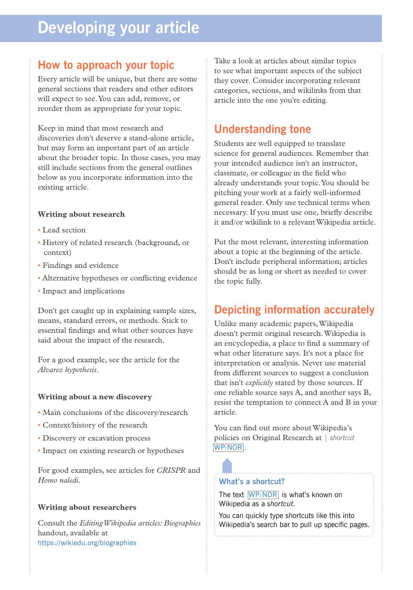# **Developing your article**

### **How to approach your topic**

Every article will be unique, but there are some general sections that readers and other editors will expect to see. You can add, remove, or reorder them as appropriate for your topic.

Keep in mind that most research and discoveries don't deserve a stand-alone article, but may form an important part of an article about the broader topic. In those cases, you may still include sections from the general outlines below as you incorporate information into the existing article.

#### **Writing about research**

- Lead section
- History of related research (background, or context)
- Findings and evidence
- Alternative hypotheses or conflicting evidence
- Impact and implications

Don't get caught up in explaining sample sizes, means, standard errors, or methods. Stick to essential findings and what other sources have said about the impact of the research.

For a good example, see the article for the *Alvarez hypothesis*.

#### **Writing about a new discovery**

- Main conclusions of the discovery/research
- Context/history of the research
- Discovery or excavation process
- Impact on existing research or hypotheses

For good examples, see articles for *CRISPR* and *Homo naledi*.

#### **Writing about researchers**

Consult the *Editing Wikipedia articles: Biographies*  handout, available at https://wikiedu.org/biographies

Take a look at articles about similar topics to see what important aspects of the subject they cover. Consider incorporating relevant categories, sections, and wikilinks from that article into the one you're editing.

## **Understanding tone**

Students are well equipped to translate science for general audiences. Remember that your intended audience isn't an instructor, classmate, or colleague in the field who already understands your topic. You should be pitching your work at a fairly well-informed general reader. Only use technical terms when necessary. If you must use one, briefly describe it and/or wikilink to a relevant Wikipedia article.

Put the most relevant, interesting information about a topic at the beginning of the article. Don't include peripheral information; articles should be as long or short as needed to cover the topic fully.

## **Depicting information accurately**

Unlike many academic papers, Wikipedia doesn't permit original research. Wikipedia is an encyclopedia, a place to find a summary of what other literature says. It's not a place for interpretation or analysis. Never use material from different sources to suggest a conclusion that isn't *explicitly* stated by those sources. If one reliable source says A, and another says B, resist the temptation to connect A and B in your article.

You can find out more about Wikipedia's policies on Original Research at | *shortcut*  WP:NOR .

#### **What's a shortcut?**

The text WP:NOR is what's known on Wikipedia as a *shortcut*.

You can quickly type shortcuts like this into Wikipedia's search bar to pull up specific pages.